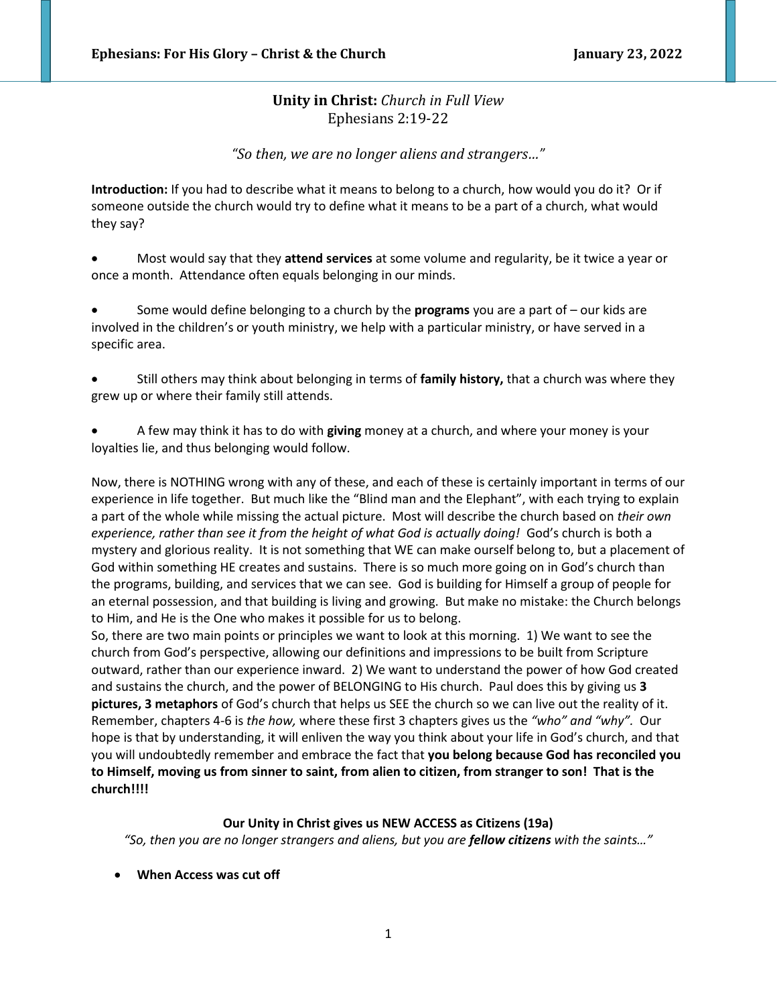# **Unity in Christ:** *Church in Full View* Ephesians 2:19-22

*"So then, we are no longer aliens and strangers…"*

**Introduction:** If you had to describe what it means to belong to a church, how would you do it? Or if someone outside the church would try to define what it means to be a part of a church, what would they say?

• Most would say that they **attend services** at some volume and regularity, be it twice a year or once a month. Attendance often equals belonging in our minds.

• Some would define belonging to a church by the **programs** you are a part of – our kids are involved in the children's or youth ministry, we help with a particular ministry, or have served in a specific area.

• Still others may think about belonging in terms of **family history,** that a church was where they grew up or where their family still attends.

• A few may think it has to do with **giving** money at a church, and where your money is your loyalties lie, and thus belonging would follow.

Now, there is NOTHING wrong with any of these, and each of these is certainly important in terms of our experience in life together. But much like the "Blind man and the Elephant", with each trying to explain a part of the whole while missing the actual picture. Most will describe the church based on *their own experience, rather than see it from the height of what God is actually doing!* God's church is both a mystery and glorious reality. It is not something that WE can make ourself belong to, but a placement of God within something HE creates and sustains. There is so much more going on in God's church than the programs, building, and services that we can see. God is building for Himself a group of people for an eternal possession, and that building is living and growing. But make no mistake: the Church belongs to Him, and He is the One who makes it possible for us to belong.

So, there are two main points or principles we want to look at this morning. 1) We want to see the church from God's perspective, allowing our definitions and impressions to be built from Scripture outward, rather than our experience inward. 2) We want to understand the power of how God created and sustains the church, and the power of BELONGING to His church. Paul does this by giving us **3 pictures, 3 metaphors** of God's church that helps us SEE the church so we can live out the reality of it. Remember, chapters 4-6 is *the how,* where these first 3 chapters gives us the *"who" and "why".* Our hope is that by understanding, it will enliven the way you think about your life in God's church, and that you will undoubtedly remember and embrace the fact that **you belong because God has reconciled you to Himself, moving us from sinner to saint, from alien to citizen, from stranger to son! That is the church!!!!**

# **Our Unity in Christ gives us NEW ACCESS as Citizens (19a)**

*"So, then you are no longer strangers and aliens, but you are fellow citizens with the saints…"*

• **When Access was cut off**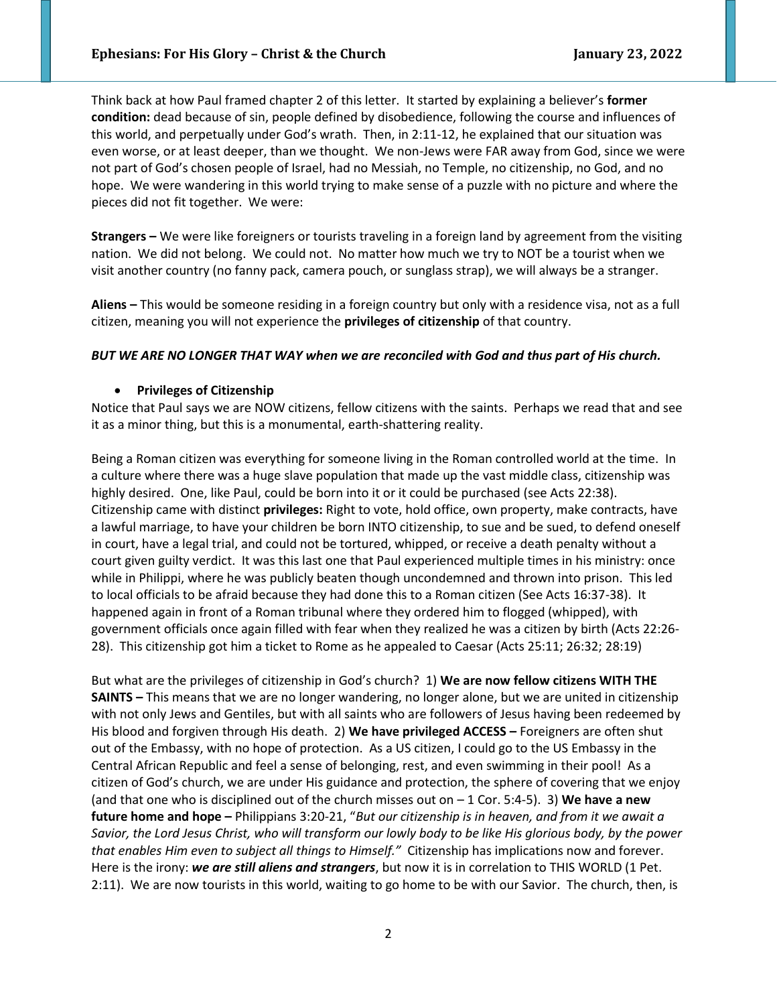Think back at how Paul framed chapter 2 of this letter. It started by explaining a believer's **former condition:** dead because of sin, people defined by disobedience, following the course and influences of this world, and perpetually under God's wrath. Then, in 2:11-12, he explained that our situation was even worse, or at least deeper, than we thought. We non-Jews were FAR away from God, since we were not part of God's chosen people of Israel, had no Messiah, no Temple, no citizenship, no God, and no hope. We were wandering in this world trying to make sense of a puzzle with no picture and where the pieces did not fit together. We were:

**Strangers –** We were like foreigners or tourists traveling in a foreign land by agreement from the visiting nation. We did not belong. We could not. No matter how much we try to NOT be a tourist when we visit another country (no fanny pack, camera pouch, or sunglass strap), we will always be a stranger.

**Aliens –** This would be someone residing in a foreign country but only with a residence visa, not as a full citizen, meaning you will not experience the **privileges of citizenship** of that country.

### *BUT WE ARE NO LONGER THAT WAY when we are reconciled with God and thus part of His church.*

### • **Privileges of Citizenship**

Notice that Paul says we are NOW citizens, fellow citizens with the saints. Perhaps we read that and see it as a minor thing, but this is a monumental, earth-shattering reality.

Being a Roman citizen was everything for someone living in the Roman controlled world at the time. In a culture where there was a huge slave population that made up the vast middle class, citizenship was highly desired. One, like Paul, could be born into it or it could be purchased (see Acts 22:38). Citizenship came with distinct **privileges:** Right to vote, hold office, own property, make contracts, have a lawful marriage, to have your children be born INTO citizenship, to sue and be sued, to defend oneself in court, have a legal trial, and could not be tortured, whipped, or receive a death penalty without a court given guilty verdict. It was this last one that Paul experienced multiple times in his ministry: once while in Philippi, where he was publicly beaten though uncondemned and thrown into prison. This led to local officials to be afraid because they had done this to a Roman citizen (See Acts 16:37-38). It happened again in front of a Roman tribunal where they ordered him to flogged (whipped), with government officials once again filled with fear when they realized he was a citizen by birth (Acts 22:26- 28). This citizenship got him a ticket to Rome as he appealed to Caesar (Acts 25:11; 26:32; 28:19)

But what are the privileges of citizenship in God's church? 1) **We are now fellow citizens WITH THE SAINTS –** This means that we are no longer wandering, no longer alone, but we are united in citizenship with not only Jews and Gentiles, but with all saints who are followers of Jesus having been redeemed by His blood and forgiven through His death. 2) **We have privileged ACCESS –** Foreigners are often shut out of the Embassy, with no hope of protection. As a US citizen, I could go to the US Embassy in the Central African Republic and feel a sense of belonging, rest, and even swimming in their pool! As a citizen of God's church, we are under His guidance and protection, the sphere of covering that we enjoy (and that one who is disciplined out of the church misses out on – 1 Cor. 5:4-5). 3) **We have a new future home and hope –** Philippians 3:20-21, "*But our citizenship is in heaven, and from it we await a Savior, the Lord Jesus Christ, who will transform our lowly body to be like His glorious body, by the power that enables Him even to subject all things to Himself."* Citizenship has implications now and forever. Here is the irony: *we are still aliens and strangers*, but now it is in correlation to THIS WORLD (1 Pet. 2:11). We are now tourists in this world, waiting to go home to be with our Savior. The church, then, is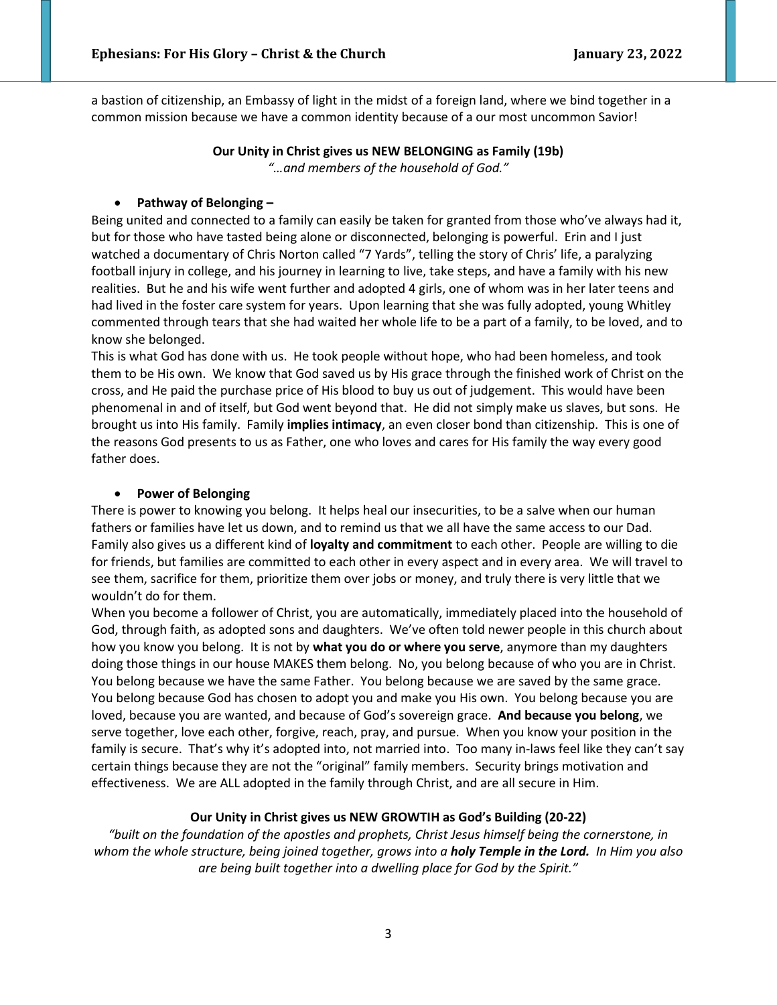a bastion of citizenship, an Embassy of light in the midst of a foreign land, where we bind together in a common mission because we have a common identity because of a our most uncommon Savior!

# **Our Unity in Christ gives us NEW BELONGING as Family (19b)** *"…and members of the household of God."*

### • **Pathway of Belonging –**

Being united and connected to a family can easily be taken for granted from those who've always had it, but for those who have tasted being alone or disconnected, belonging is powerful. Erin and I just watched a documentary of Chris Norton called "7 Yards", telling the story of Chris' life, a paralyzing football injury in college, and his journey in learning to live, take steps, and have a family with his new realities. But he and his wife went further and adopted 4 girls, one of whom was in her later teens and had lived in the foster care system for years. Upon learning that she was fully adopted, young Whitley commented through tears that she had waited her whole life to be a part of a family, to be loved, and to know she belonged.

This is what God has done with us. He took people without hope, who had been homeless, and took them to be His own. We know that God saved us by His grace through the finished work of Christ on the cross, and He paid the purchase price of His blood to buy us out of judgement. This would have been phenomenal in and of itself, but God went beyond that. He did not simply make us slaves, but sons. He brought us into His family. Family **implies intimacy**, an even closer bond than citizenship. This is one of the reasons God presents to us as Father, one who loves and cares for His family the way every good father does.

#### • **Power of Belonging**

There is power to knowing you belong. It helps heal our insecurities, to be a salve when our human fathers or families have let us down, and to remind us that we all have the same access to our Dad. Family also gives us a different kind of **loyalty and commitment** to each other. People are willing to die for friends, but families are committed to each other in every aspect and in every area. We will travel to see them, sacrifice for them, prioritize them over jobs or money, and truly there is very little that we wouldn't do for them.

When you become a follower of Christ, you are automatically, immediately placed into the household of God, through faith, as adopted sons and daughters. We've often told newer people in this church about how you know you belong. It is not by **what you do or where you serve**, anymore than my daughters doing those things in our house MAKES them belong. No, you belong because of who you are in Christ. You belong because we have the same Father. You belong because we are saved by the same grace. You belong because God has chosen to adopt you and make you His own. You belong because you are loved, because you are wanted, and because of God's sovereign grace. **And because you belong**, we serve together, love each other, forgive, reach, pray, and pursue. When you know your position in the family is secure. That's why it's adopted into, not married into. Too many in-laws feel like they can't say certain things because they are not the "original" family members. Security brings motivation and effectiveness. We are ALL adopted in the family through Christ, and are all secure in Him.

#### **Our Unity in Christ gives us NEW GROWTIH as God's Building (20-22)**

*"built on the foundation of the apostles and prophets, Christ Jesus himself being the cornerstone, in whom the whole structure, being joined together, grows into a holy Temple in the Lord. In Him you also are being built together into a dwelling place for God by the Spirit."*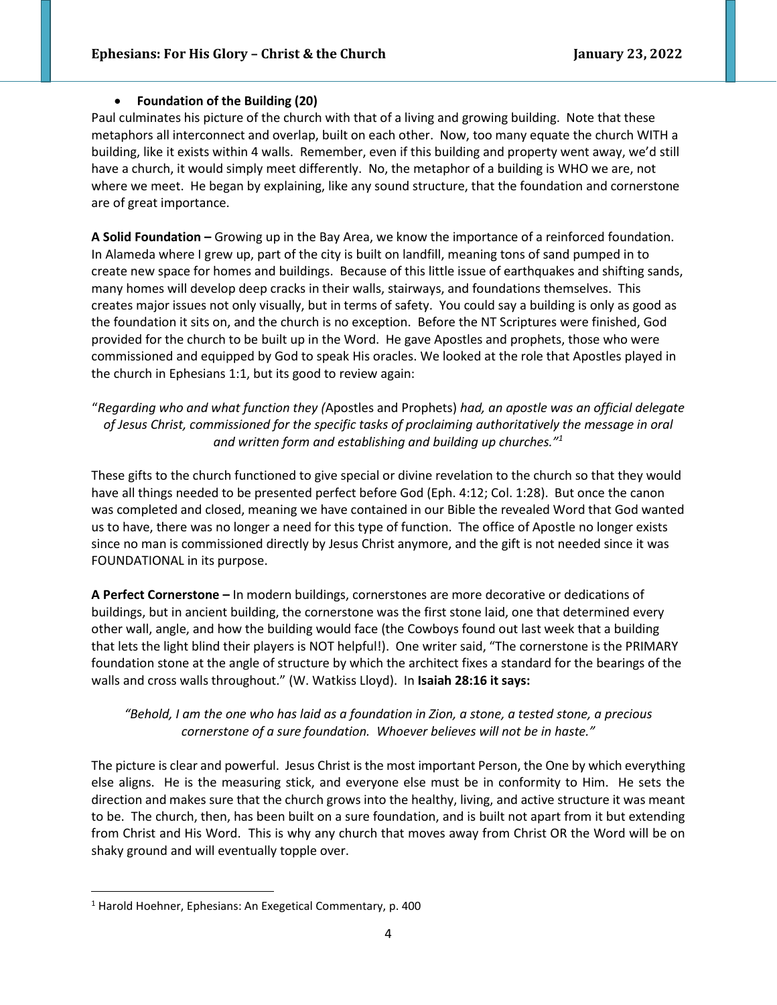# • **Foundation of the Building (20)**

Paul culminates his picture of the church with that of a living and growing building. Note that these metaphors all interconnect and overlap, built on each other. Now, too many equate the church WITH a building, like it exists within 4 walls. Remember, even if this building and property went away, we'd still have a church, it would simply meet differently. No, the metaphor of a building is WHO we are, not where we meet. He began by explaining, like any sound structure, that the foundation and cornerstone are of great importance.

**A Solid Foundation –** Growing up in the Bay Area, we know the importance of a reinforced foundation. In Alameda where I grew up, part of the city is built on landfill, meaning tons of sand pumped in to create new space for homes and buildings. Because of this little issue of earthquakes and shifting sands, many homes will develop deep cracks in their walls, stairways, and foundations themselves. This creates major issues not only visually, but in terms of safety. You could say a building is only as good as the foundation it sits on, and the church is no exception. Before the NT Scriptures were finished, God provided for the church to be built up in the Word. He gave Apostles and prophets, those who were commissioned and equipped by God to speak His oracles. We looked at the role that Apostles played in the church in Ephesians 1:1, but its good to review again:

"*Regarding who and what function they (*Apostles and Prophets) *had, an apostle was an official delegate of Jesus Christ, commissioned for the specific tasks of proclaiming authoritatively the message in oral and written form and establishing and building up churches."<sup>1</sup>*

These gifts to the church functioned to give special or divine revelation to the church so that they would have all things needed to be presented perfect before God (Eph. 4:12; Col. 1:28). But once the canon was completed and closed, meaning we have contained in our Bible the revealed Word that God wanted us to have, there was no longer a need for this type of function. The office of Apostle no longer exists since no man is commissioned directly by Jesus Christ anymore, and the gift is not needed since it was FOUNDATIONAL in its purpose.

**A Perfect Cornerstone –** In modern buildings, cornerstones are more decorative or dedications of buildings, but in ancient building, the cornerstone was the first stone laid, one that determined every other wall, angle, and how the building would face (the Cowboys found out last week that a building that lets the light blind their players is NOT helpful!). One writer said, "The cornerstone is the PRIMARY foundation stone at the angle of structure by which the architect fixes a standard for the bearings of the walls and cross walls throughout." (W. Watkiss Lloyd). In **Isaiah 28:16 it says:**

# *"Behold, I am the one who has laid as a foundation in Zion, a stone, a tested stone, a precious cornerstone of a sure foundation. Whoever believes will not be in haste."*

The picture is clear and powerful. Jesus Christ is the most important Person, the One by which everything else aligns. He is the measuring stick, and everyone else must be in conformity to Him. He sets the direction and makes sure that the church grows into the healthy, living, and active structure it was meant to be. The church, then, has been built on a sure foundation, and is built not apart from it but extending from Christ and His Word. This is why any church that moves away from Christ OR the Word will be on shaky ground and will eventually topple over.

<sup>&</sup>lt;sup>1</sup> Harold Hoehner, Ephesians: An Exegetical Commentary, p. 400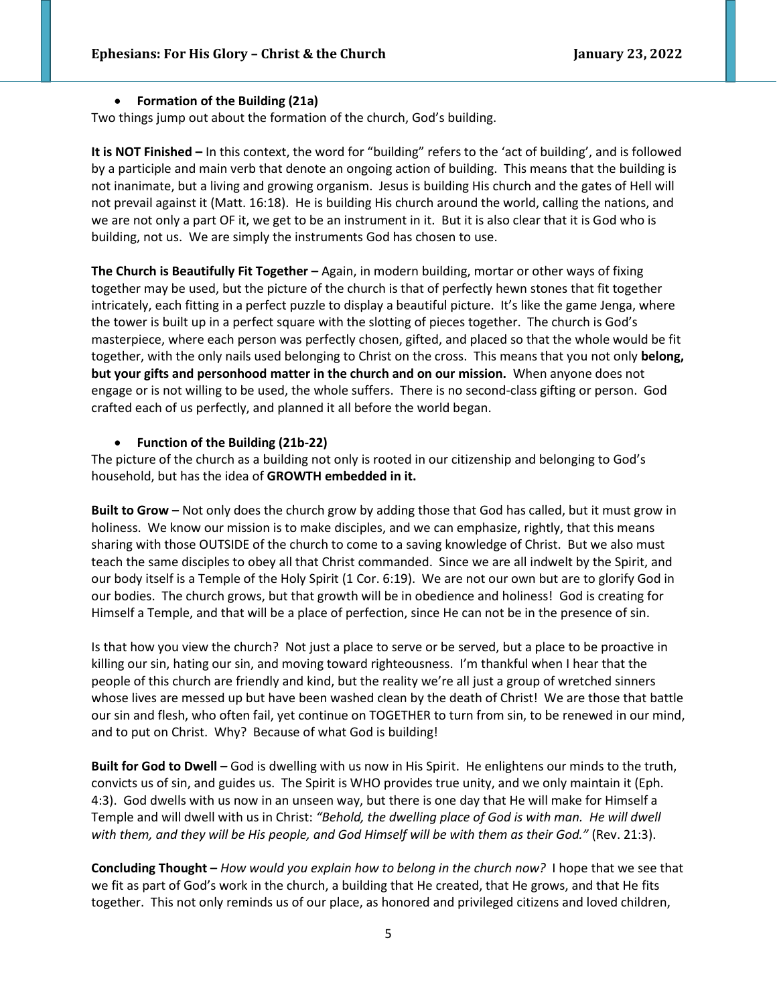### • **Formation of the Building (21a)**

Two things jump out about the formation of the church, God's building.

**It is NOT Finished –** In this context, the word for "building" refers to the 'act of building', and is followed by a participle and main verb that denote an ongoing action of building. This means that the building is not inanimate, but a living and growing organism. Jesus is building His church and the gates of Hell will not prevail against it (Matt. 16:18). He is building His church around the world, calling the nations, and we are not only a part OF it, we get to be an instrument in it. But it is also clear that it is God who is building, not us. We are simply the instruments God has chosen to use.

**The Church is Beautifully Fit Together –** Again, in modern building, mortar or other ways of fixing together may be used, but the picture of the church is that of perfectly hewn stones that fit together intricately, each fitting in a perfect puzzle to display a beautiful picture. It's like the game Jenga, where the tower is built up in a perfect square with the slotting of pieces together. The church is God's masterpiece, where each person was perfectly chosen, gifted, and placed so that the whole would be fit together, with the only nails used belonging to Christ on the cross. This means that you not only **belong, but your gifts and personhood matter in the church and on our mission.** When anyone does not engage or is not willing to be used, the whole suffers. There is no second-class gifting or person. God crafted each of us perfectly, and planned it all before the world began.

# • **Function of the Building (21b-22)**

The picture of the church as a building not only is rooted in our citizenship and belonging to God's household, but has the idea of **GROWTH embedded in it.** 

**Built to Grow –** Not only does the church grow by adding those that God has called, but it must grow in holiness. We know our mission is to make disciples, and we can emphasize, rightly, that this means sharing with those OUTSIDE of the church to come to a saving knowledge of Christ. But we also must teach the same disciples to obey all that Christ commanded. Since we are all indwelt by the Spirit, and our body itself is a Temple of the Holy Spirit (1 Cor. 6:19). We are not our own but are to glorify God in our bodies. The church grows, but that growth will be in obedience and holiness! God is creating for Himself a Temple, and that will be a place of perfection, since He can not be in the presence of sin.

Is that how you view the church? Not just a place to serve or be served, but a place to be proactive in killing our sin, hating our sin, and moving toward righteousness. I'm thankful when I hear that the people of this church are friendly and kind, but the reality we're all just a group of wretched sinners whose lives are messed up but have been washed clean by the death of Christ! We are those that battle our sin and flesh, who often fail, yet continue on TOGETHER to turn from sin, to be renewed in our mind, and to put on Christ. Why? Because of what God is building!

**Built for God to Dwell –** God is dwelling with us now in His Spirit. He enlightens our minds to the truth, convicts us of sin, and guides us. The Spirit is WHO provides true unity, and we only maintain it (Eph. 4:3). God dwells with us now in an unseen way, but there is one day that He will make for Himself a Temple and will dwell with us in Christ: *"Behold, the dwelling place of God is with man. He will dwell*  with them, and they will be His people, and God Himself will be with them as their God." (Rev. 21:3).

**Concluding Thought –** *How would you explain how to belong in the church now?* I hope that we see that we fit as part of God's work in the church, a building that He created, that He grows, and that He fits together. This not only reminds us of our place, as honored and privileged citizens and loved children,